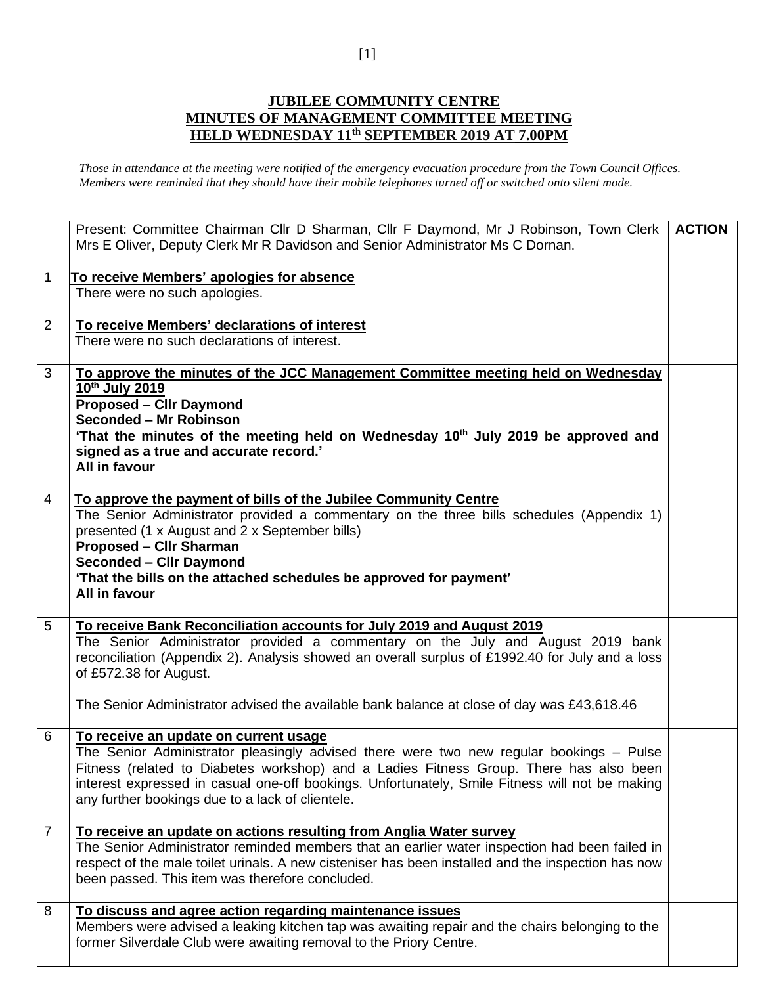## **JUBILEE COMMUNITY CENTRE MINUTES OF MANAGEMENT COMMITTEE MEETING HELD WEDNESDAY 11th SEPTEMBER 2019 AT 7.00PM**

*Those in attendance at the meeting were notified of the emergency evacuation procedure from the Town Council Offices. Members were reminded that they should have their mobile telephones turned off or switched onto silent mode.*

|                | Present: Committee Chairman Cllr D Sharman, Cllr F Daymond, Mr J Robinson, Town Clerk<br>Mrs E Oliver, Deputy Clerk Mr R Davidson and Senior Administrator Ms C Dornan.                                                                                                                                                                                                             | <b>ACTION</b> |
|----------------|-------------------------------------------------------------------------------------------------------------------------------------------------------------------------------------------------------------------------------------------------------------------------------------------------------------------------------------------------------------------------------------|---------------|
| $\mathbf{1}$   | To receive Members' apologies for absence<br>There were no such apologies.                                                                                                                                                                                                                                                                                                          |               |
| $\overline{2}$ | To receive Members' declarations of interest<br>There were no such declarations of interest.                                                                                                                                                                                                                                                                                        |               |
| 3              | To approve the minutes of the JCC Management Committee meeting held on Wednesday<br>10th July 2019<br>Proposed - Cllr Daymond<br>Seconded - Mr Robinson<br>'That the minutes of the meeting held on Wednesday 10 <sup>th</sup> July 2019 be approved and<br>signed as a true and accurate record.'<br>All in favour                                                                 |               |
| $\overline{4}$ | To approve the payment of bills of the Jubilee Community Centre<br>The Senior Administrator provided a commentary on the three bills schedules (Appendix 1)<br>presented (1 x August and 2 x September bills)<br><b>Proposed - Cllr Sharman</b><br><b>Seconded - Cllr Daymond</b><br>'That the bills on the attached schedules be approved for payment'<br>All in favour            |               |
| 5              | To receive Bank Reconciliation accounts for July 2019 and August 2019<br>The Senior Administrator provided a commentary on the July and August 2019 bank<br>reconciliation (Appendix 2). Analysis showed an overall surplus of £1992.40 for July and a loss<br>of £572.38 for August.<br>The Senior Administrator advised the available bank balance at close of day was £43,618.46 |               |
| 6              | To receive an update on current usage<br>The Senior Administrator pleasingly advised there were two new regular bookings - Pulse<br>Fitness (related to Diabetes workshop) and a Ladies Fitness Group. There has also been<br>interest expressed in casual one-off bookings. Unfortunately, Smile Fitness will not be making<br>any further bookings due to a lack of clientele.    |               |
| $\overline{7}$ | To receive an update on actions resulting from Anglia Water survey<br>The Senior Administrator reminded members that an earlier water inspection had been failed in<br>respect of the male toilet urinals. A new cisteniser has been installed and the inspection has now<br>been passed. This item was therefore concluded.                                                        |               |
| 8              | To discuss and agree action regarding maintenance issues<br>Members were advised a leaking kitchen tap was awaiting repair and the chairs belonging to the<br>former Silverdale Club were awaiting removal to the Priory Centre.                                                                                                                                                    |               |